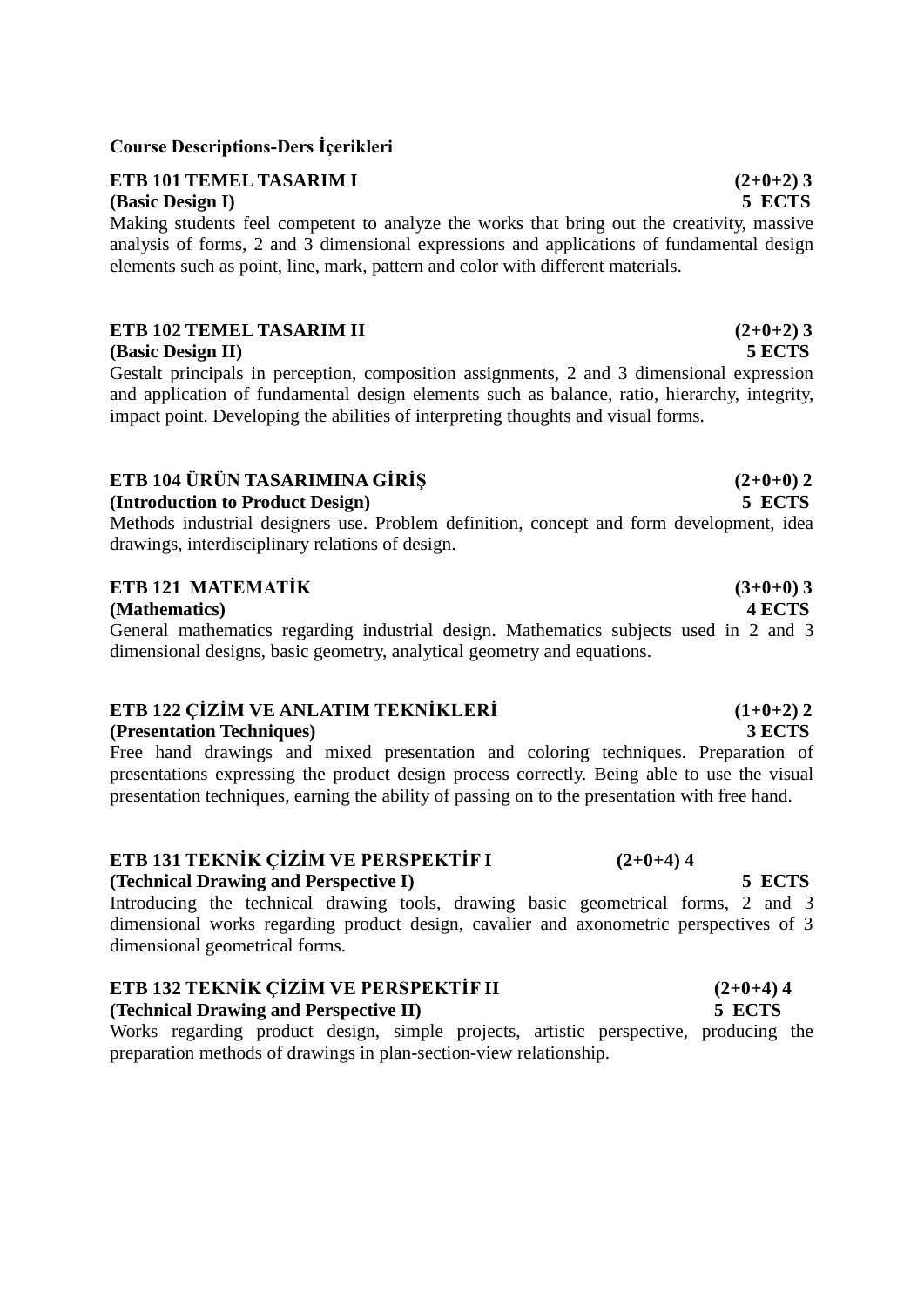### **Course Descriptions-Ders İçerikleri**

# **ETB 101 TEMEL TASARIM <b>I**  $(2+0+2)$  **3**

Making students feel competent to analyze the works that bring out the creativity, massive analysis of forms, 2 and 3 dimensional expressions and applications of fundamental design elements such as point, line, mark, pattern and color with different materials.

### **ETB 102 TEMEL TASARIM II (2+0+2) 3**

### **(Basic Design II) 5 ECTS**

Gestalt principals in perception, composition assignments, 2 and 3 dimensional expression and application of fundamental design elements such as balance, ratio, hierarchy, integrity, impact point. Developing the abilities of interpreting thoughts and visual forms.

### **ETB 104**  $\ddot{\textbf{U}}$ **RÜN TASARIMINA GİRİŞ**  $(2+0+0)$  **2**

### **(Introduction to Product Design) 5 ECTS**

Methods industrial designers use. Problem definition, concept and form development, idea drawings, interdisciplinary relations of design.

# **ETB 121 MATEMATİK (3+0+0) 3**

### **(Mathematics) 4 ECTS**

General mathematics regarding industrial design. Mathematics subjects used in 2 and 3 dimensional designs, basic geometry, analytical geometry and equations.

### **ETB 122 CİZİM VE ANLATIM TEKNİKLERİ**  $(1+0+2)$  **2**

### **(Presentation Techniques) 3 ECTS**

Free hand drawings and mixed presentation and coloring techniques. Preparation of presentations expressing the product design process correctly. Being able to use the visual presentation techniques, earning the ability of passing on to the presentation with free hand.

# **ETB 131 TEKNİK ÇİZİM VE PERSPEKTİF I (2+0+4) 4**

### **(Technical Drawing and Perspective I) 5 ECTS**

Introducing the technical drawing tools, drawing basic geometrical forms, 2 and 3 dimensional works regarding product design, cavalier and axonometric perspectives of 3 dimensional geometrical forms.

### **ETB 132 TEKNİK CİZİM VE PERSPEKTİF II**  $(2+0+4)$ **4 (Technical Drawing and Perspective II) 5 ECTS**

Works regarding product design, simple projects, artistic perspective, producing the preparation methods of drawings in plan-section-view relationship.

# **(Basic Design I) 5 ECTS**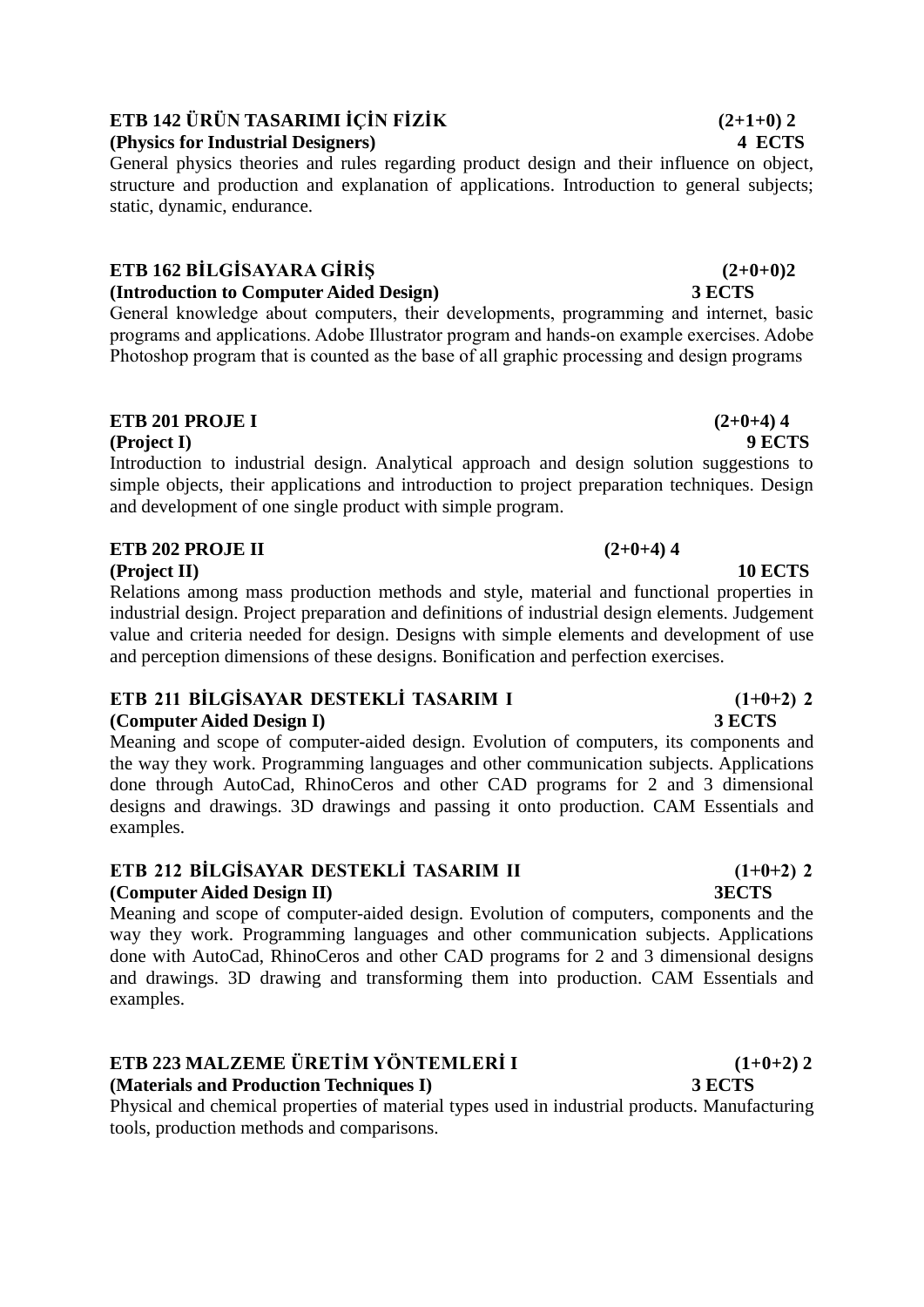# **ETB 142 ÜRÜN TASARIMI İÇİN FİZİK**  $(2+1+0)$  **2**

# **(Physics for Industrial Designers) 4 ECTS**

General physics theories and rules regarding product design and their influence on object, structure and production and explanation of applications. Introduction to general subjects; static, dynamic, endurance.

### **ETB 162 BİLGİSAYARA GİRİŞ (2+0+0)2 (Introduction to Computer Aided Design) 3 ECTS**

General knowledge about computers, their developments, programming and internet, basic programs and applications. Adobe Illustrator program and hands-on example exercises. Adobe Photoshop program that is counted as the base of all graphic processing and design programs

# **ETB 201 PROJE I** (2+0+4) 4

**(Project I) 9 ECTS**

Introduction to industrial design. Analytical approach and design solution suggestions to simple objects, their applications and introduction to project preparation techniques. Design and development of one single product with simple program.

# **ETB 202 PROJE II** (2+0+4) 4

**(Project II) 10 ECTS**

Relations among mass production methods and style, material and functional properties in industrial design. Project preparation and definitions of industrial design elements. Judgement value and criteria needed for design. Designs with simple elements and development of use and perception dimensions of these designs. Bonification and perfection exercises.

# **ETB 211 BİLGİSAYAR DESTEKLİ TASARIM I (1+0+2) 2**

### **(Computer Aided Design I) 3 ECTS**

Meaning and scope of computer-aided design. Evolution of computers, its components and the way they work. Programming languages and other communication subjects. Applications done through AutoCad, RhinoCeros and other CAD programs for 2 and 3 dimensional designs and drawings. 3D drawings and passing it onto production. CAM Essentials and examples.

## **ETB 212 BİLGİSAYAR DESTEKLİ TASARIM II (1+0+2) 2 (Computer Aided Design II) 3ECTS**

Meaning and scope of computer-aided design. Evolution of computers, components and the way they work. Programming languages and other communication subjects. Applications done with AutoCad, RhinoCeros and other CAD programs for 2 and 3 dimensional designs and drawings. 3D drawing and transforming them into production. CAM Essentials and examples.

# **ETB 223 MALZEME ÜRETİM YÖNTEMLERİ I (1+0+2) 2**

**(Materials and Production Techniques I) 3 ECTS**

Physical and chemical properties of material types used in industrial products. Manufacturing tools, production methods and comparisons.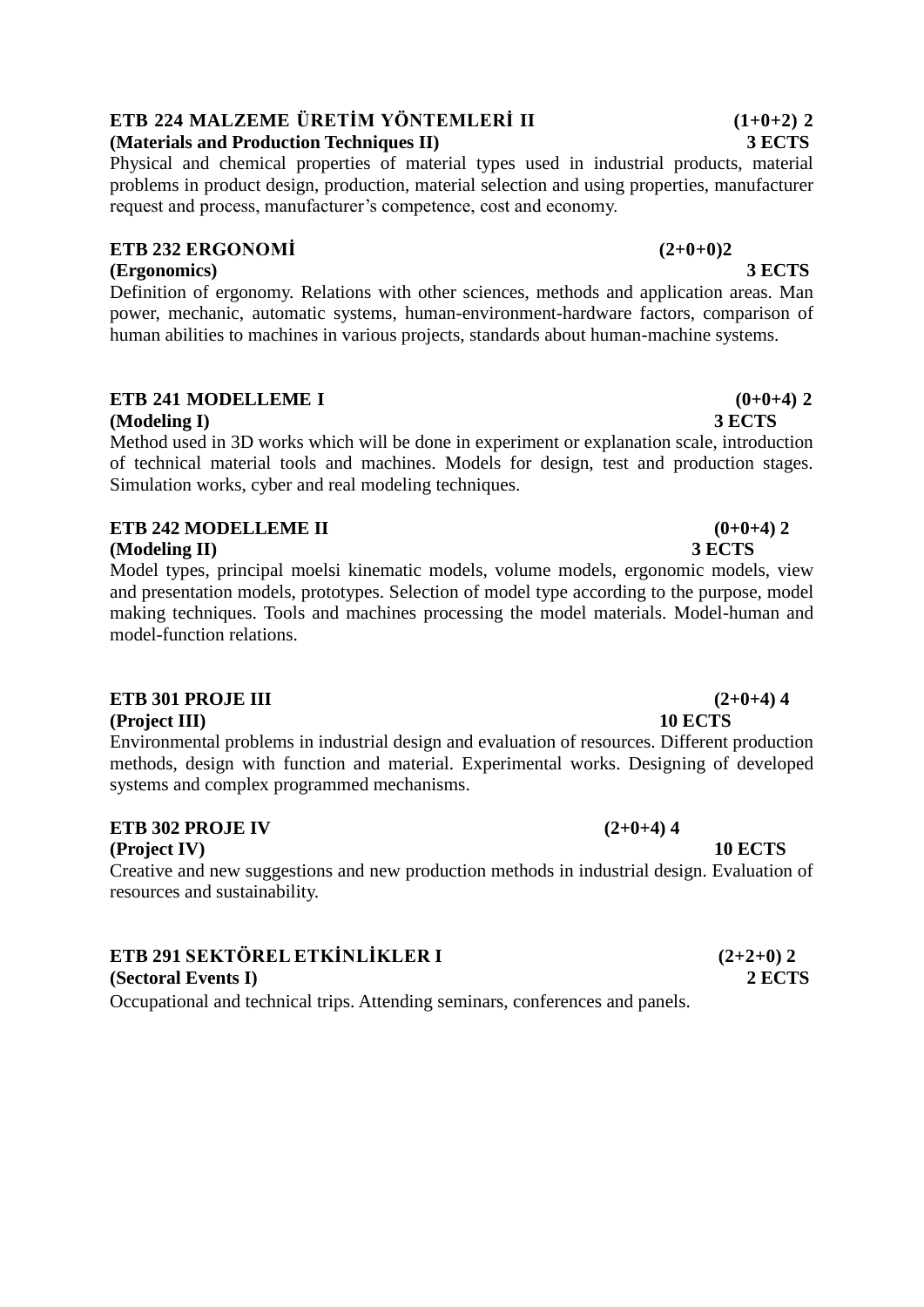# **ETB 224 MALZEME ÜRETİM YÖNTEMLERİ II (1+0+2) 2**

## **(Materials and Production Techniques II) 3 ECTS**

Physical and chemical properties of material types used in industrial products, material problems in product design, production, material selection and using properties, manufacturer request and process, manufacturer's competence, cost and economy.

# **ETB 232 ERGONOMİ (2+0+0)2**

# **(Ergonomics) 3 ECTS**

Definition of ergonomy. Relations with other sciences, methods and application areas. Man power, mechanic, automatic systems, human-environment-hardware factors, comparison of human abilities to machines in various projects, standards about human-machine systems.

### **ETB 241 MODELLEME I**  $(0+0+4)$  2 **(Modeling I) 3 ECTS**

Method used in 3D works which will be done in experiment or explanation scale, introduction of technical material tools and machines. Models for design, test and production stages. Simulation works, cyber and real modeling techniques.

# **ETB 242 MODELLEME II** (0+0+4) 2

### **(Modeling II) 3 ECTS**

Model types, principal moelsi kinematic models, volume models, ergonomic models, view and presentation models, prototypes. Selection of model type according to the purpose, model making techniques. Tools and machines processing the model materials. Model-human and model-function relations.

### **ETB 301 PROJE III** (2+0+4) 4

**(Project III) 10 ECTS**

Environmental problems in industrial design and evaluation of resources. Different production methods, design with function and material. Experimental works. Designing of developed systems and complex programmed mechanisms.

# **ETB 302 PROJE IV** (2+0+4) 4

**(Project IV) 10 ECTS**

Creative and new suggestions and new production methods in industrial design. Evaluation of resources and sustainability.

# **ETB 291 SEKTÖREL ETKİNLİKLER I (2+2+0) 2**

**(Sectoral Events I) 2 ECTS**

Occupational and technical trips. Attending seminars, conferences and panels.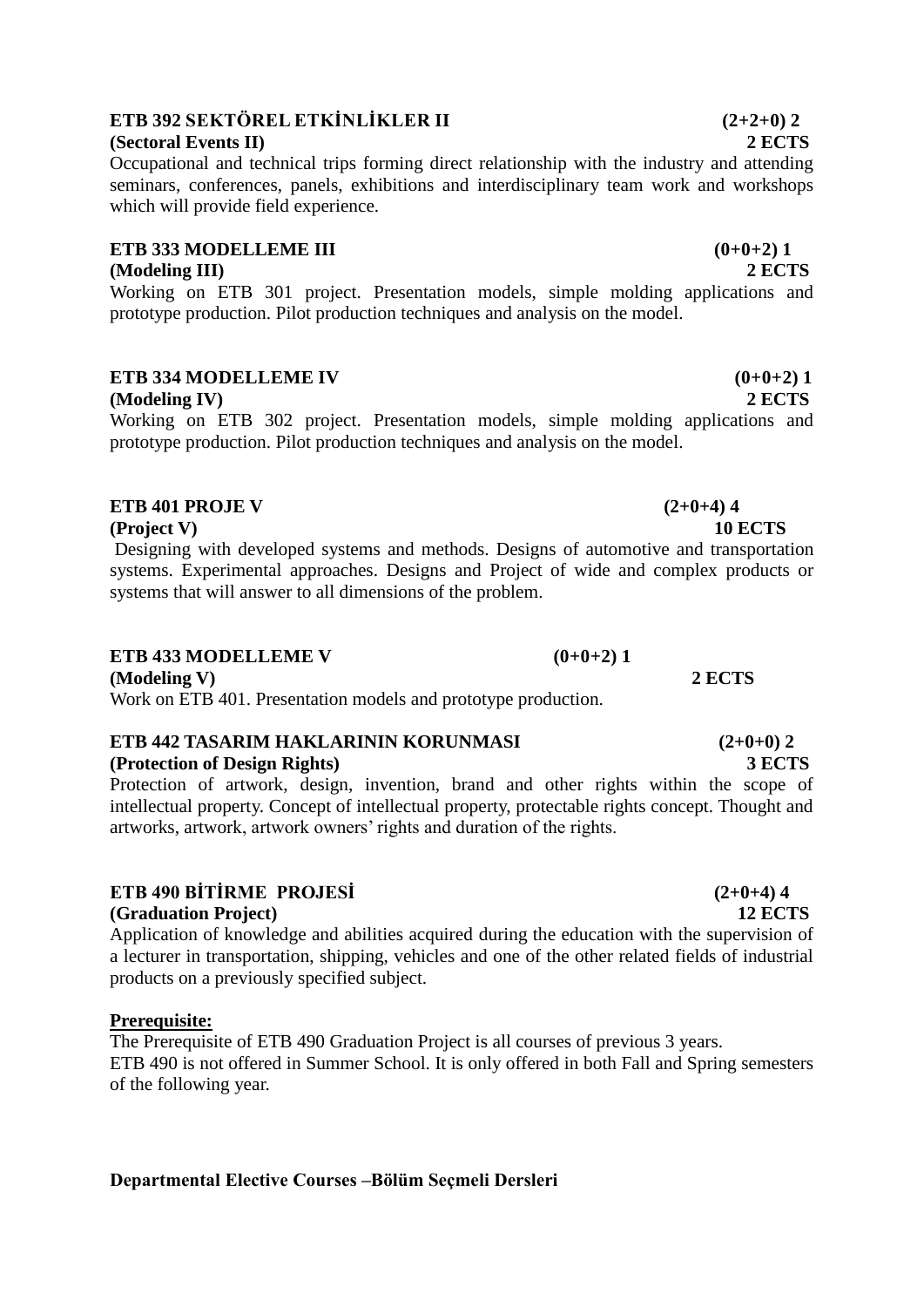# **ETB 392 SEKTÖREL ETKİNLİKLER II (2+2+0) 2**

### **(Sectoral Events II) 2 ECTS**

Occupational and technical trips forming direct relationship with the industry and attending seminars, conferences, panels, exhibitions and interdisciplinary team work and workshops which will provide field experience.

# **ETB 333 MODELLEME III** (0+0+2) **1**

### **(Modeling III) 2 ECTS**

Working on ETB 301 project. Presentation models, simple molding applications and prototype production. Pilot production techniques and analysis on the model.

# **ETB 334 MODELLEME IV**  $(0+0+2)$  **1**

### **(Modeling IV) 2 ECTS**

Working on ETB 302 project. Presentation models, simple molding applications and prototype production. Pilot production techniques and analysis on the model.

## **ETB 401 PROJE V** (2+0+4) 4

**(Project V) 10 ECTS**

Designing with developed systems and methods. Designs of automotive and transportation systems. Experimental approaches. Designs and Project of wide and complex products or systems that will answer to all dimensions of the problem.

# **ETB** 433 MODELLEME **V**  $(0+0+2)$  **1**

**(Modeling V) 2 ECTS** Work on ETB 401. Presentation models and prototype production.

# **ETB 442 TASARIM HAKLARININ KORUNMASI (2+0+0) 2**

### **(Protection of Design Rights) 3 ECTS**

Protection of artwork, design, invention, brand and other rights within the scope of intellectual property. Concept of intellectual property, protectable rights concept. Thought and artworks, artwork, artwork owners' rights and duration of the rights.

# **ETB 490 BİTİRME PROJESİ (2+0+4) 4**

### **(Graduation Project) 12 ECTS**

Application of knowledge and abilities acquired during the education with the supervision of a lecturer in transportation, shipping, vehicles and one of the other related fields of industrial products on a previously specified subject.

### **Prerequisite:**

The Prerequisite of ETB 490 Graduation Project is all courses of previous 3 years. ETB 490 is not offered in Summer School. It is only offered in both Fall and Spring semesters of the following year.

# **Departmental Elective Courses –Bölüm Seçmeli Dersleri**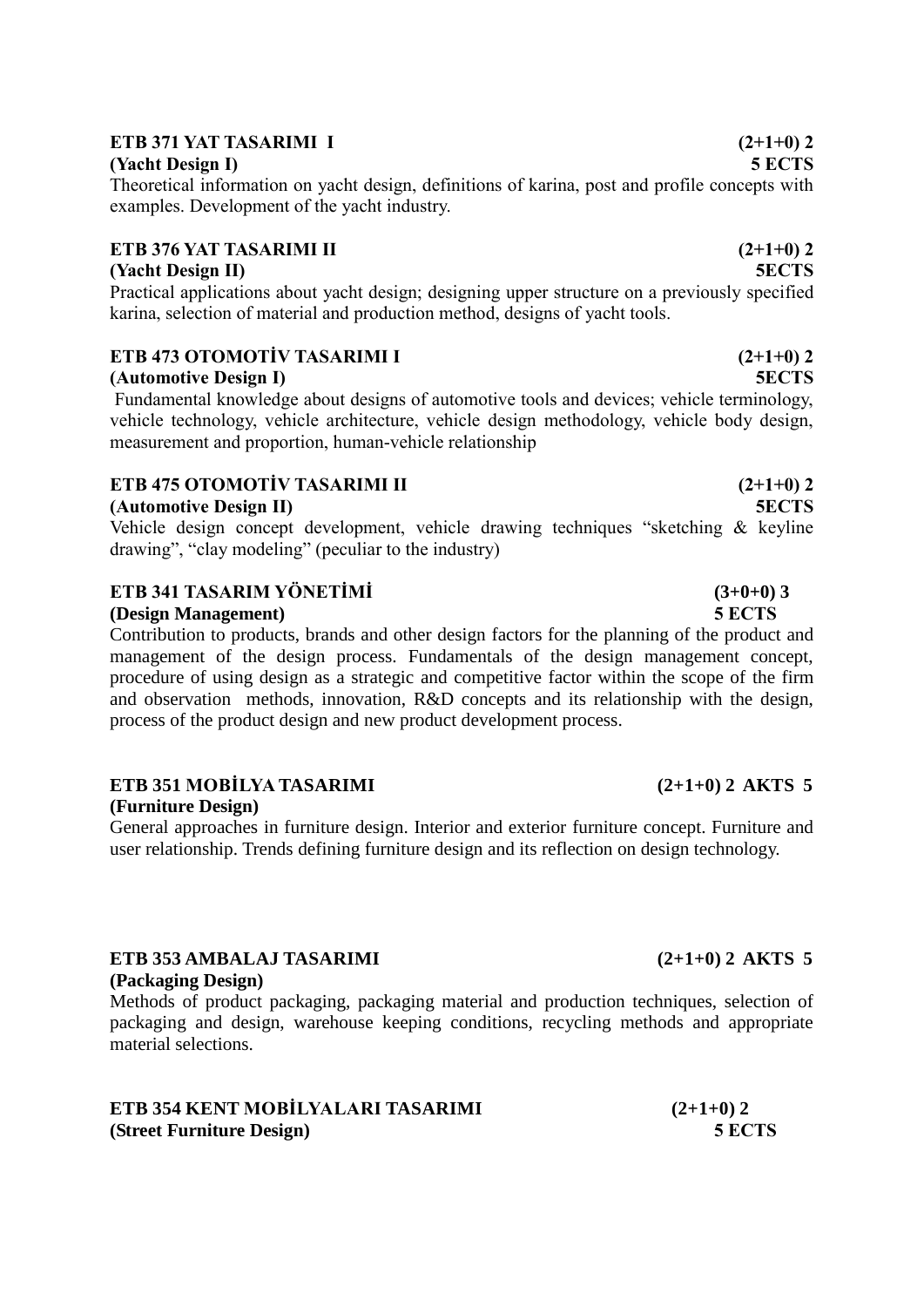# **ETB 371 YAT TASARIMI I** (2+1+0) 2

**(Yacht Design I) 5 ECTS**

Theoretical information on yacht design, definitions of karina, post and profile concepts with examples. Development of the yacht industry.

# **ETB 376 YAT TASARIMI II** (2+1+0) 2

# **(Yacht Design II) 5ECTS**

Practical applications about yacht design; designing upper structure on a previously specified karina, selection of material and production method, designs of yacht tools.

# **ETB 473 OTOMOTİV TASARIMI I (2+1+0) 2**

### **(Automotive Design I) 5ECTS**

Fundamental knowledge about designs of automotive tools and devices; vehicle terminology, vehicle technology, vehicle architecture, vehicle design methodology, vehicle body design, measurement and proportion, human-vehicle relationship

# **ETB 475 OTOMOTİV TASARIMI II (2+1+0) 2**

### **(Automotive Design II) 5ECTS**

Vehicle design concept development, vehicle drawing techniques "sketching & keyline drawing", "clay modeling" (peculiar to the industry)

# **ETB 341 TASARIM YÖNETİMİ (3+0+0) 3**

### **(Design Management) 5 ECTS**

Contribution to products, brands and other design factors for the planning of the product and management of the design process. Fundamentals of the design management concept, procedure of using design as a strategic and competitive factor within the scope of the firm and observation methods, innovation, R&D concepts and its relationship with the design, process of the product design and new product development process.

### **ETB 351 MOBİLYA TASARIMI (2+1+0) 2 AKTS 5 (Furniture Design)**

General approaches in furniture design. Interior and exterior furniture concept. Furniture and user relationship. Trends defining furniture design and its reflection on design technology.

### **ETB 353 AMBALAJ TASARIMI (2+1+0) 2 AKTS 5 (Packaging Design)**

Methods of product packaging, packaging material and production techniques, selection of packaging and design, warehouse keeping conditions, recycling methods and appropriate material selections.

### **ETB 354 KENT MOBİLYALARI TASARIMI (2+1+0) 2 (Street Furniture Design) 5 ECTS**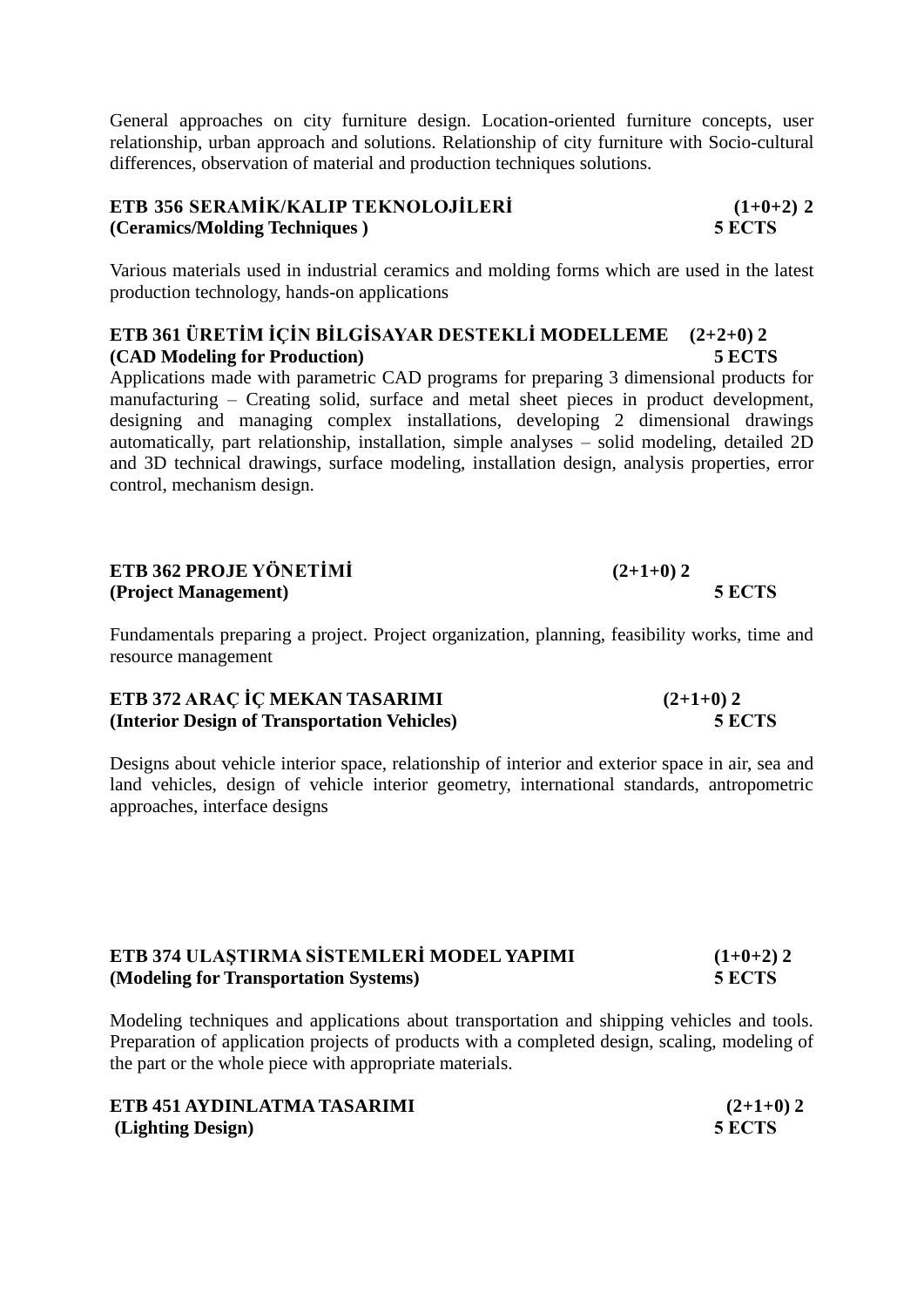General approaches on city furniture design. Location-oriented furniture concepts, user relationship, urban approach and solutions. Relationship of city furniture with Socio-cultural differences, observation of material and production techniques solutions.

## **ETB 356 SERAMİK/KALIP TEKNOLOJİLERİ (1+0+2) 2 (Ceramics/Molding Techniques ) 5 ECTS**

Various materials used in industrial ceramics and molding forms which are used in the latest production technology, hands-on applications

### **ETB 361 ÜRETİM İÇİN BİLGİSAYAR DESTEKLİ MODELLEME (2+2+0) 2 (CAD Modeling for Production) 5 ECTS**

Applications made with parametric CAD programs for preparing 3 dimensional products for manufacturing – Creating solid, surface and metal sheet pieces in product development, designing and managing complex installations, developing 2 dimensional drawings automatically, part relationship, installation, simple analyses – solid modeling, detailed 2D and 3D technical drawings, surface modeling, installation design, analysis properties, error control, mechanism design.

# **ETB 362 PROJE YÖNETİMİ (2+1+0) 2 (Project Management) 5 ECTS**

Fundamentals preparing a project. Project organization, planning, feasibility works, time and resource management

| ETB 372 ARAÇ İÇ MEKAN TASARIMI               | $(2+1+0)$ 2 |
|----------------------------------------------|-------------|
| (Interior Design of Transportation Vehicles) | 5 ECTS      |

Designs about vehicle interior space, relationship of interior and exterior space in air, sea and land vehicles, design of vehicle interior geometry, international standards, antropometric approaches, interface designs

| ETB 374 ULASTIRMA SISTEMLERI MODEL YAPIMI | $(1+0+2)$ 2 |
|-------------------------------------------|-------------|
| (Modeling for Transportation Systems)     | 5 ECTS      |

Modeling techniques and applications about transportation and shipping vehicles and tools. Preparation of application projects of products with a completed design, scaling, modeling of the part or the whole piece with appropriate materials.

| ETB 451 AYDINLATMA TASARIMI | $(2+1+0)$ 2 |
|-----------------------------|-------------|
| (Lighting Design)           | 5 ECTS      |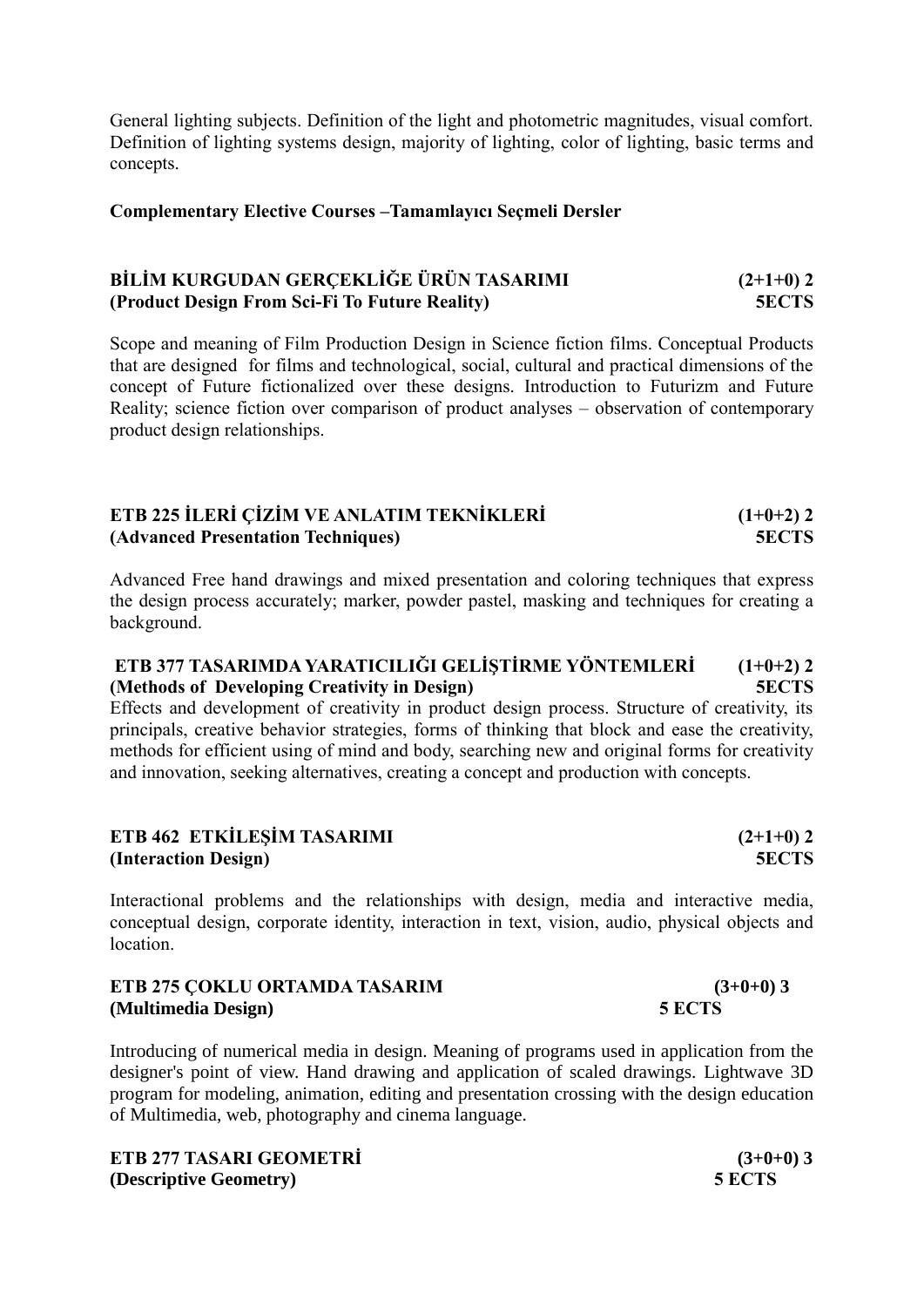General lighting subjects. Definition of the light and photometric magnitudes, visual comfort. Definition of lighting systems design, majority of lighting, color of lighting, basic terms and concepts.

### **Complementary Elective Courses –Tamamlayıcı Seçmeli Dersler**

### **BİLİM KURGUDAN GERÇEKLİĞE ÜRÜN TASARIMI (2+1+0) 2 (Product Design From Sci-Fi To Future Reality) 5ECTS**

Scope and meaning of Film Production Design in Science fiction films. Conceptual Products that are designed for films and technological, social, cultural and practical dimensions of the concept of Future fictionalized over these designs. Introduction to Futurizm and Future Reality; science fiction over comparison of product analyses – observation of contemporary product design relationships.

### **ETB 225 İLERİ ÇİZİM VE ANLATIM TEKNİKLERİ (1+0+2) 2 (Advanced Presentation Techniques) 5ECTS**

Advanced Free hand drawings and mixed presentation and coloring techniques that express the design process accurately; marker, powder pastel, masking and techniques for creating a background.

## **ETB 377 TASARIMDA YARATICILIĞI GELİŞTİRME YÖNTEMLERİ (1+0+2) 2 (Methods of Developing Creativity in Design) 5ECTS**

Effects and development of creativity in product design process. Structure of creativity, its principals, creative behavior strategies, forms of thinking that block and ease the creativity, methods for efficient using of mind and body, searching new and original forms for creativity and innovation, seeking alternatives, creating a concept and production with concepts.

| ETB 462 ETKİLEŞİM TASARIMI | $(2+1+0)$ 2 |
|----------------------------|-------------|
| (Interaction Design)       | 5ECTS       |

Interactional problems and the relationships with design, media and interactive media, conceptual design, corporate identity, interaction in text, vision, audio, physical objects and location.

| ETB 275 ÇOKLU ORTAMDA TASARIM | $(3+0+0)$ 3 |
|-------------------------------|-------------|
| (Multimedia Design)           | 5 ECTS      |

Introducing of numerical media in design. Meaning of programs used in application from the designer's point of view. Hand drawing and application of scaled drawings. Lightwave 3D program for modeling, animation, editing and presentation crossing with the design education of Multimedia, web, photography and cinema language.

**ETB 277 TASARI GEOMETRİ (3+0+0) 3 (Descriptive Geometry) 5 ECTS**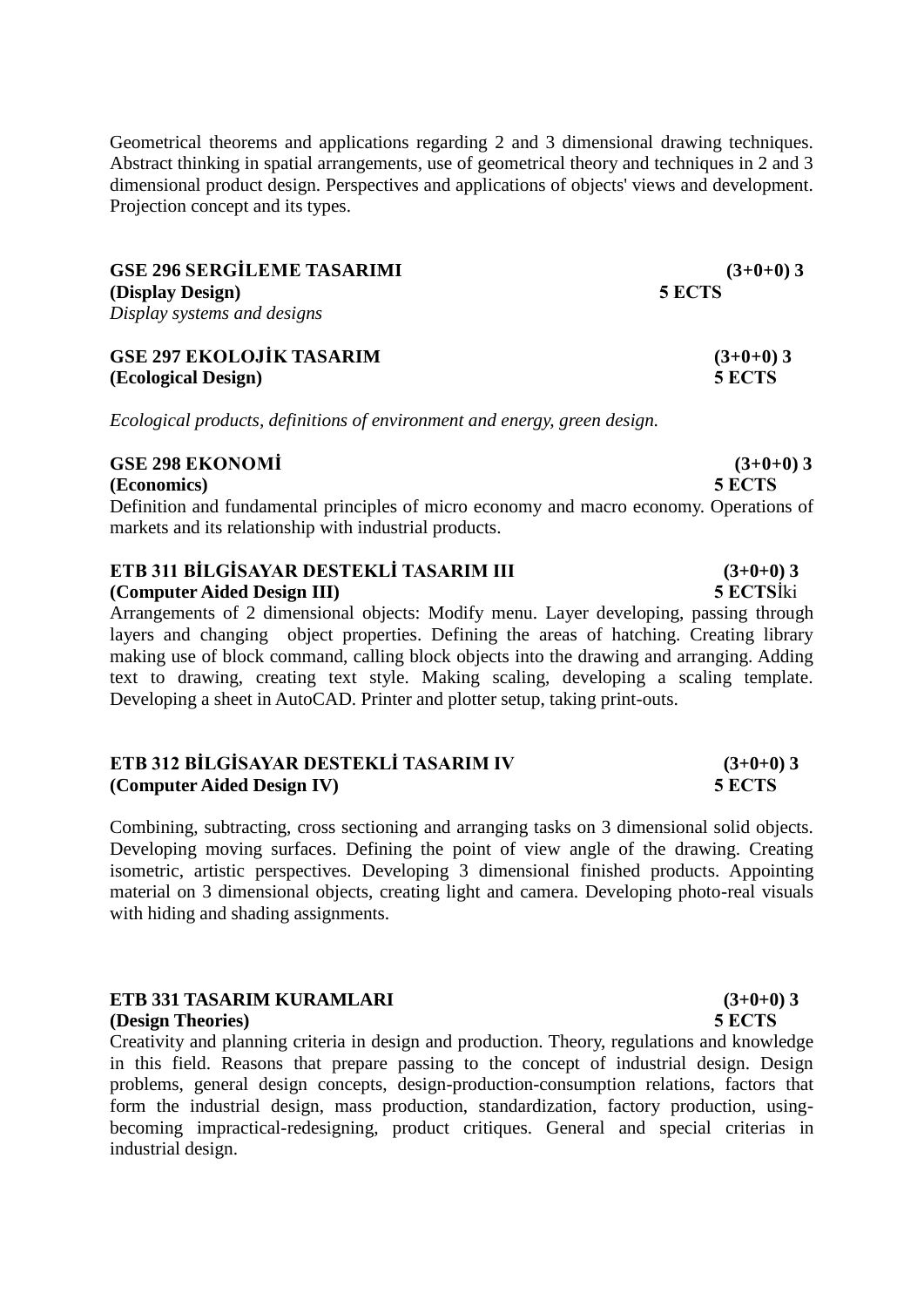Geometrical theorems and applications regarding 2 and 3 dimensional drawing techniques. Abstract thinking in spatial arrangements, use of geometrical theory and techniques in 2 and 3 dimensional product design. Perspectives and applications of objects' views and development. Projection concept and its types.

| <b>GSE 296 SERGİLEME TASARIMI</b> | $(3+0+0)3$ |
|-----------------------------------|------------|
| (Display Design)                  | 5 ECTS     |
| Display systems and designs       |            |

**GSE 297 EKOLOJİK TASARIM (3+0+0) 3 (Ecological Design) 5 ECTS**

*Ecological products, definitions of environment and energy, green design.*

### **GSE 298 EKONOMİ (3+0+0) 3**

**(Economics) 5 ECTS**

Definition and fundamental principles of micro economy and macro economy. Operations of markets and its relationship with industrial products.

### **ETB 311 BİLGİSAYAR DESTEKLİ TASARIM III (3+0+0) 3 (Computer Aided Design III) 5 ECTS**İki

Arrangements of 2 dimensional objects: Modify menu. Layer developing, passing through layers and changing object properties. Defining the areas of hatching. Creating library making use of block command, calling block objects into the drawing and arranging. Adding text to drawing, creating text style. Making scaling, developing a scaling template. Developing a sheet in AutoCAD. Printer and plotter setup, taking print-outs.

### **ETB 312 BİLGİSAYAR DESTEKLİ TASARIM IV (3+0+0) 3 (Computer Aided Design IV) 5 ECTS**

Combining, subtracting, cross sectioning and arranging tasks on 3 dimensional solid objects. Developing moving surfaces. Defining the point of view angle of the drawing. Creating isometric, artistic perspectives. Developing 3 dimensional finished products. Appointing material on 3 dimensional objects, creating light and camera. Developing photo-real visuals with hiding and shading assignments.

### **ETB 331 TASARIM KURAMLARI** (3+0+0) 3 **(Design Theories) 5 ECTS**

Creativity and planning criteria in design and production. Theory, regulations and knowledge in this field. Reasons that prepare passing to the concept of industrial design. Design problems, general design concepts, design-production-consumption relations, factors that form the industrial design, mass production, standardization, factory production, usingbecoming impractical-redesigning, product critiques. General and special criterias in industrial design.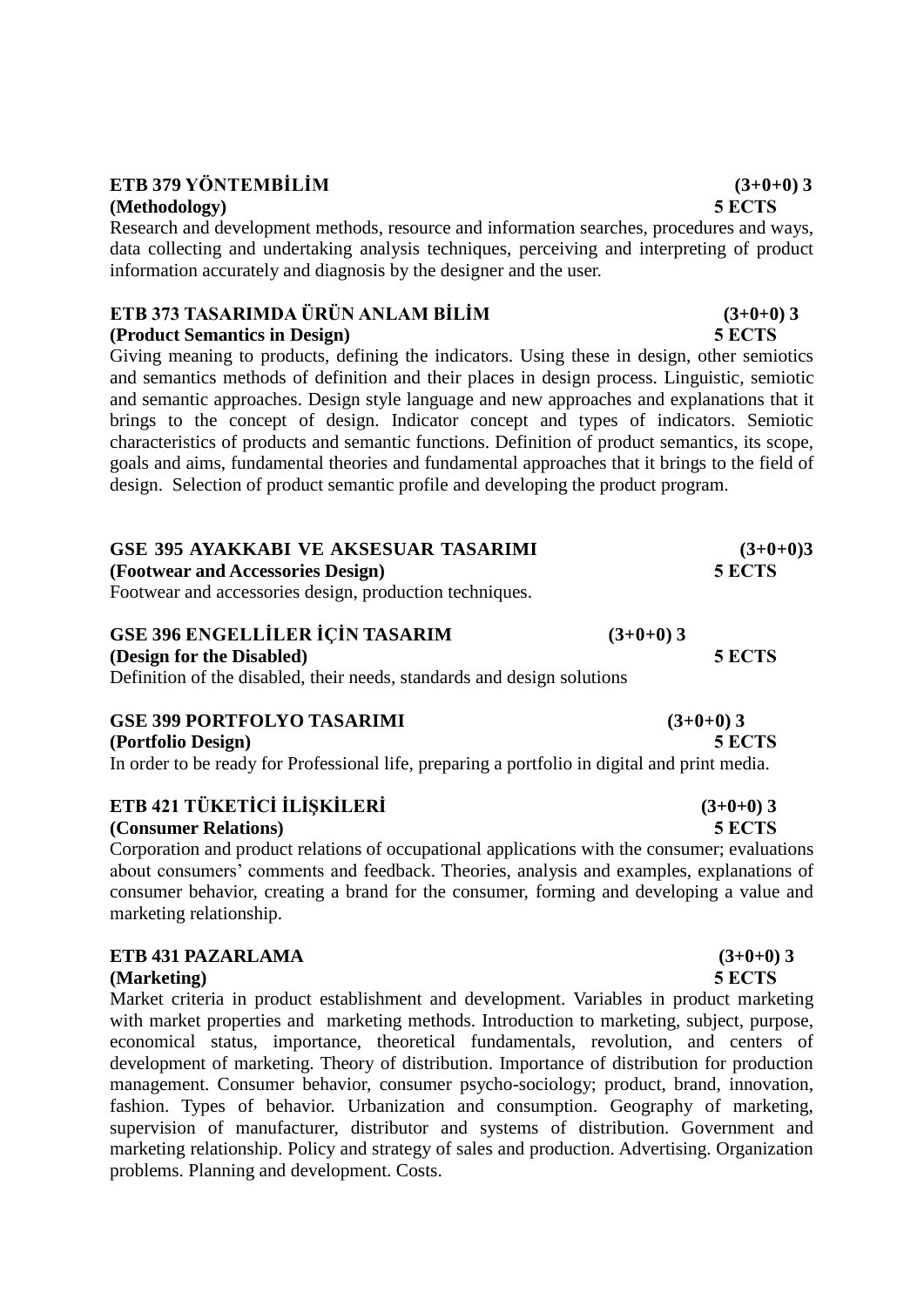## **ETB 379 YÖNTEMBİLİM**  $(3+0+0)$ **3**

### **(Methodology) 5 ECTS**

Research and development methods, resource and information searches, procedures and ways, data collecting and undertaking analysis techniques, perceiving and interpreting of product information accurately and diagnosis by the designer and the user.

## **ETB 373 TASARIMDA ÜRÜN ANLAM BİLİM (3+0+0) 3**

**(Product Semantics in Design) 5 ECTS**

Giving meaning to products, defining the indicators. Using these in design, other semiotics and semantics methods of definition and their places in design process. Linguistic, semiotic and semantic approaches. Design style language and new approaches and explanations that it brings to the concept of design. Indicator concept and types of indicators. Semiotic characteristics of products and semantic functions. Definition of product semantics, its scope, goals and aims, fundamental theories and fundamental approaches that it brings to the field of design. Selection of product semantic profile and developing the product program.

# **GSE 395 AYAKKABI VE AKSESUAR TASARIMI (3+0+0)3**

**(Footwear and Accessories Design) 5 ECTS**

Footwear and accessories design, production techniques.

### **GSE 396 ENGELLİLER İÇİN TASARIM (3+0+0) 3 (Design for the Disabled) 5 ECTS** Definition of the disabled, their needs, standards and design solutions

**GSE 399 PORTFOLYO TASARIMI (3+0+0) 3 (Portfolio Design) 5 ECTS** In order to be ready for Professional life, preparing a portfolio in digital and print media.

### **ETB 421 TÜKETİCİ İLİŞKİLERİ (3+0+0) 3**

### **(Consumer Relations) 5 ECTS**

Corporation and product relations of occupational applications with the consumer; evaluations about consumers' comments and feedback. Theories, analysis and examples, explanations of consumer behavior, creating a brand for the consumer, forming and developing a value and marketing relationship.

### **ETB 431 PAZARLAMA (3+0+0) 3**

### **(Marketing) 5 ECTS**

Market criteria in product establishment and development. Variables in product marketing with market properties and marketing methods. Introduction to marketing, subject, purpose, economical status, importance, theoretical fundamentals, revolution, and centers of development of marketing. Theory of distribution. Importance of distribution for production management. Consumer behavior, consumer psycho-sociology; product, brand, innovation, fashion. Types of behavior. Urbanization and consumption. Geography of marketing, supervision of manufacturer, distributor and systems of distribution. Government and marketing relationship. Policy and strategy of sales and production. Advertising. Organization problems. Planning and development. Costs.